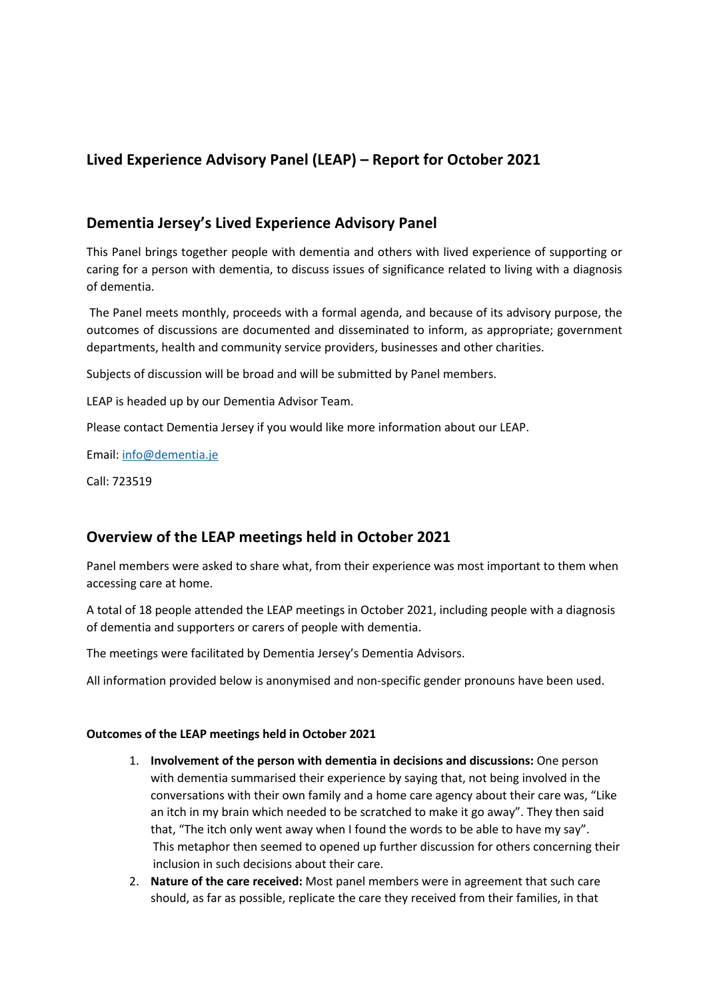# **Lived Experience Advisory Panel (LEAP) – Report for October 2021**

#### **Dementia Jersey's Lived Experience Advisory Panel**

This Panel brings together people with dementia and others with lived experience of supporting or caring for a person with dementia, to discuss issues of significance related to living with a diagnosis of dementia.

The Panel meets monthly, proceeds with a formal agenda, and because of its advisory purpose, the outcomes of discussions are documented and disseminated to inform, as appropriate; government departments, health and community service providers, businesses and other charities.

Subjects of discussion will be broad and will be submitted by Panel members.

LEAP is headed up by our Dementia Advisor Team.

Please contact Dementia Jersey if you would like more information about our LEAP.

Email: info@dementia.je

Call: 723519

### **Overview of the LEAP meetings held in October 2021**

Panel members were asked to share what, from their experience was most important to them when accessing care at home.

A total of 18 people attended the LEAP meetings in October 2021, including people with a diagnosis of dementia and supporters or carers of people with dementia.

The meetings were facilitated by Dementia Jersey's Dementia Advisors.

All information provided below is anonymised and non-specific gender pronouns have been used.

#### **Outcomes of the LEAP meetings held in October 2021**

- 1. **Involvement of the person with dementia in decisions and discussions:** One person with dementia summarised their experience by saying that, not being involved in the conversations with their own family and a home care agency about their care was, "Like an itch in my brain which needed to be scratched to make it go away". They then said that, "The itch only went away when I found the words to be able to have my say". This metaphor then seemed to opened up further discussion for others concerning their inclusion in such decisions about their care.
- 2. **Nature of the care received:** Most panel members were in agreement that such care should, as far as possible, replicate the care they received from their families, in that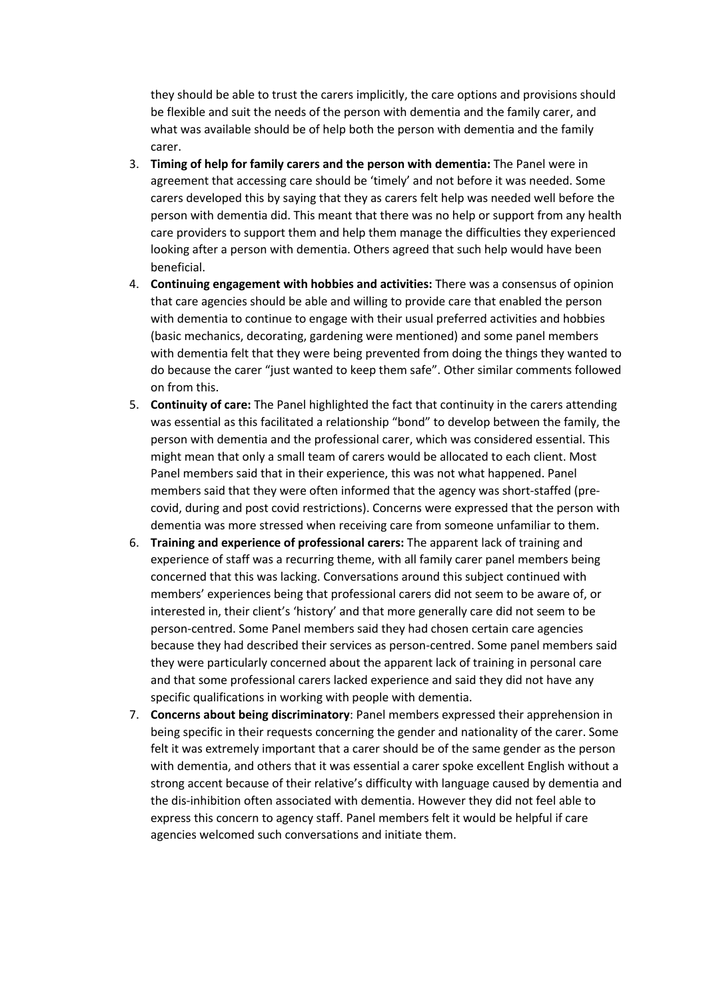they should be able to trust the carers implicitly, the care options and provisions should be flexible and suit the needs of the person with dementia and the family carer, and what was available should be of help both the person with dementia and the family carer.

- 3. **Timing of help for family carers and the person with dementia:** The Panel were in agreement that accessing care should be 'timely' and not before it was needed. Some carers developed this by saying that they as carers felt help was needed well before the person with dementia did. This meant that there was no help or support from any health care providers to support them and help them manage the difficulties they experienced looking after a person with dementia. Others agreed that such help would have been beneficial.
- 4. **Continuing engagement with hobbies and activities:** There was a consensus of opinion that care agencies should be able and willing to provide care that enabled the person with dementia to continue to engage with their usual preferred activities and hobbies (basic mechanics, decorating, gardening were mentioned) and some panel members with dementia felt that they were being prevented from doing the things they wanted to do because the carer "just wanted to keep them safe". Other similar comments followed on from this.
- 5. **Continuity of care:** The Panel highlighted the fact that continuity in the carers attending was essential as this facilitated a relationship "bond" to develop between the family, the person with dementia and the professional carer, which was considered essential. This might mean that only a small team of carers would be allocated to each client. Most Panel members said that in their experience, this was not what happened. Panel members said that they were often informed that the agency was short-staffed (precovid, during and post covid restrictions). Concerns were expressed that the person with dementia was more stressed when receiving care from someone unfamiliar to them.
- 6. **Training and experience of professional carers:** The apparent lack of training and experience of staff was a recurring theme, with all family carer panel members being concerned that this was lacking. Conversations around this subject continued with members' experiences being that professional carers did not seem to be aware of, or interested in, their client's 'history' and that more generally care did not seem to be person-centred. Some Panel members said they had chosen certain care agencies because they had described their services as person-centred. Some panel members said they were particularly concerned about the apparent lack of training in personal care and that some professional carers lacked experience and said they did not have any specific qualifications in working with people with dementia.
- 7. **Concerns about being discriminatory**: Panel members expressed their apprehension in being specific in their requests concerning the gender and nationality of the carer. Some felt it was extremely important that a carer should be of the same gender as the person with dementia, and others that it was essential a carer spoke excellent English without a strong accent because of their relative's difficulty with language caused by dementia and the dis-inhibition often associated with dementia. However they did not feel able to express this concern to agency staff. Panel members felt it would be helpful if care agencies welcomed such conversations and initiate them.